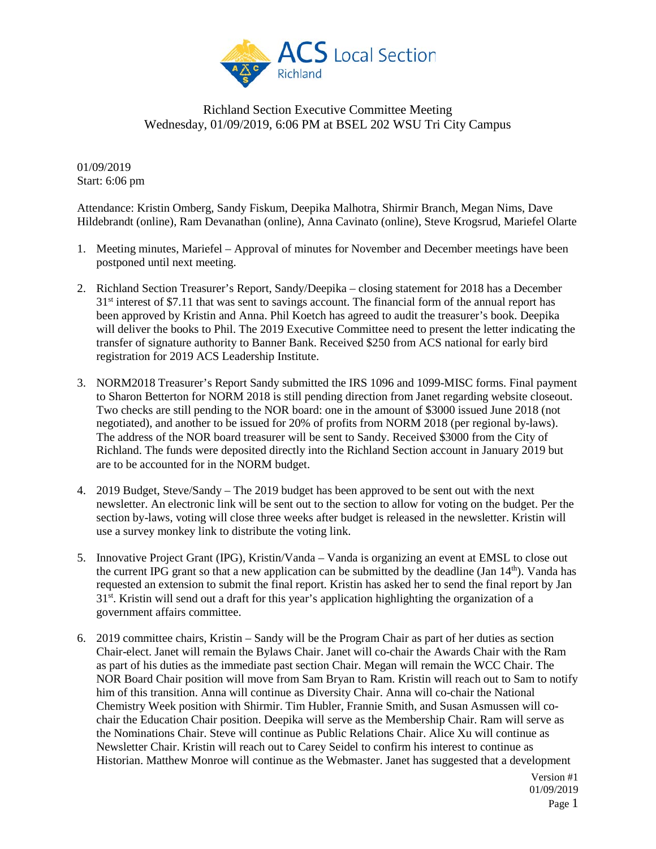

01/09/2019 Start: 6:06 pm

Attendance: Kristin Omberg, Sandy Fiskum, Deepika Malhotra, Shirmir Branch, Megan Nims, Dave Hildebrandt (online), Ram Devanathan (online), Anna Cavinato (online), Steve Krogsrud, Mariefel Olarte

- 1. Meeting minutes, Mariefel Approval of minutes for November and December meetings have been postponed until next meeting.
- 2. Richland Section Treasurer's Report, Sandy/Deepika closing statement for 2018 has a December  $31<sup>st</sup>$  interest of \$7.11 that was sent to savings account. The financial form of the annual report has been approved by Kristin and Anna. Phil Koetch has agreed to audit the treasurer's book. Deepika will deliver the books to Phil. The 2019 Executive Committee need to present the letter indicating the transfer of signature authority to Banner Bank. Received \$250 from ACS national for early bird registration for 2019 ACS Leadership Institute.
- 3. NORM2018 Treasurer's Report Sandy submitted the IRS 1096 and 1099-MISC forms. Final payment to Sharon Betterton for NORM 2018 is still pending direction from Janet regarding website closeout. Two checks are still pending to the NOR board: one in the amount of \$3000 issued June 2018 (not negotiated), and another to be issued for 20% of profits from NORM 2018 (per regional by-laws). The address of the NOR board treasurer will be sent to Sandy. Received \$3000 from the City of Richland. The funds were deposited directly into the Richland Section account in January 2019 but are to be accounted for in the NORM budget.
- 4. 2019 Budget, Steve/Sandy The 2019 budget has been approved to be sent out with the next newsletter. An electronic link will be sent out to the section to allow for voting on the budget. Per the section by-laws, voting will close three weeks after budget is released in the newsletter. Kristin will use a survey monkey link to distribute the voting link.
- 5. Innovative Project Grant (IPG), Kristin/Vanda Vanda is organizing an event at EMSL to close out the current IPG grant so that a new application can be submitted by the deadline (Jan  $14<sup>th</sup>$ ). Vanda has requested an extension to submit the final report. Kristin has asked her to send the final report by Jan 31<sup>st</sup>. Kristin will send out a draft for this year's application highlighting the organization of a government affairs committee.
- 6. 2019 committee chairs, Kristin Sandy will be the Program Chair as part of her duties as section Chair-elect. Janet will remain the Bylaws Chair. Janet will co-chair the Awards Chair with the Ram as part of his duties as the immediate past section Chair. Megan will remain the WCC Chair. The NOR Board Chair position will move from Sam Bryan to Ram. Kristin will reach out to Sam to notify him of this transition. Anna will continue as Diversity Chair. Anna will co-chair the National Chemistry Week position with Shirmir. Tim Hubler, Frannie Smith, and Susan Asmussen will cochair the Education Chair position. Deepika will serve as the Membership Chair. Ram will serve as the Nominations Chair. Steve will continue as Public Relations Chair. Alice Xu will continue as Newsletter Chair. Kristin will reach out to Carey Seidel to confirm his interest to continue as Historian. Matthew Monroe will continue as the Webmaster. Janet has suggested that a development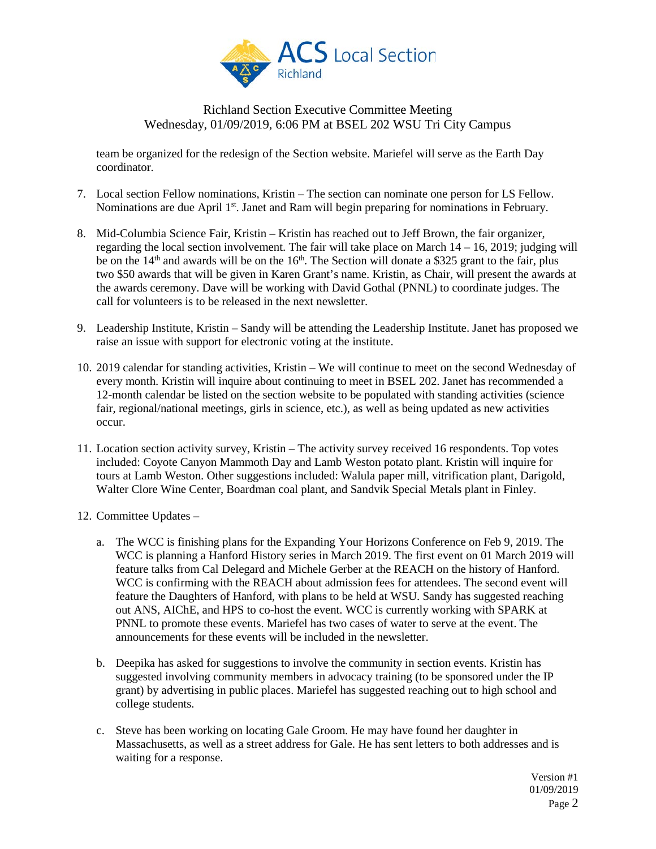

team be organized for the redesign of the Section website. Mariefel will serve as the Earth Day coordinator.

- 7. Local section Fellow nominations, Kristin The section can nominate one person for LS Fellow. Nominations are due April 1<sup>st</sup>. Janet and Ram will begin preparing for nominations in February.
- 8. Mid-Columbia Science Fair, Kristin Kristin has reached out to Jeff Brown, the fair organizer, regarding the local section involvement. The fair will take place on March 14 – 16, 2019; judging will be on the 14<sup>th</sup> and awards will be on the 16<sup>th</sup>. The Section will donate a \$325 grant to the fair, plus two \$50 awards that will be given in Karen Grant's name. Kristin, as Chair, will present the awards at the awards ceremony. Dave will be working with David Gothal (PNNL) to coordinate judges. The call for volunteers is to be released in the next newsletter.
- 9. Leadership Institute, Kristin Sandy will be attending the Leadership Institute. Janet has proposed we raise an issue with support for electronic voting at the institute.
- 10. 2019 calendar for standing activities, Kristin We will continue to meet on the second Wednesday of every month. Kristin will inquire about continuing to meet in BSEL 202. Janet has recommended a 12-month calendar be listed on the section website to be populated with standing activities (science fair, regional/national meetings, girls in science, etc.), as well as being updated as new activities occur.
- 11. Location section activity survey, Kristin The activity survey received 16 respondents. Top votes included: Coyote Canyon Mammoth Day and Lamb Weston potato plant. Kristin will inquire for tours at Lamb Weston. Other suggestions included: Walula paper mill, vitrification plant, Darigold, Walter Clore Wine Center, Boardman coal plant, and Sandvik Special Metals plant in Finley.
- 12. Committee Updates
	- a. The WCC is finishing plans for the Expanding Your Horizons Conference on Feb 9, 2019. The WCC is planning a Hanford History series in March 2019. The first event on 01 March 2019 will feature talks from Cal Delegard and Michele Gerber at the REACH on the history of Hanford. WCC is confirming with the REACH about admission fees for attendees. The second event will feature the Daughters of Hanford, with plans to be held at WSU. Sandy has suggested reaching out ANS, AIChE, and HPS to co-host the event. WCC is currently working with SPARK at PNNL to promote these events. Mariefel has two cases of water to serve at the event. The announcements for these events will be included in the newsletter.
	- b. Deepika has asked for suggestions to involve the community in section events. Kristin has suggested involving community members in advocacy training (to be sponsored under the IP grant) by advertising in public places. Mariefel has suggested reaching out to high school and college students.
	- c. Steve has been working on locating Gale Groom. He may have found her daughter in Massachusetts, as well as a street address for Gale. He has sent letters to both addresses and is waiting for a response.

Version #1 01/09/2019 Page 2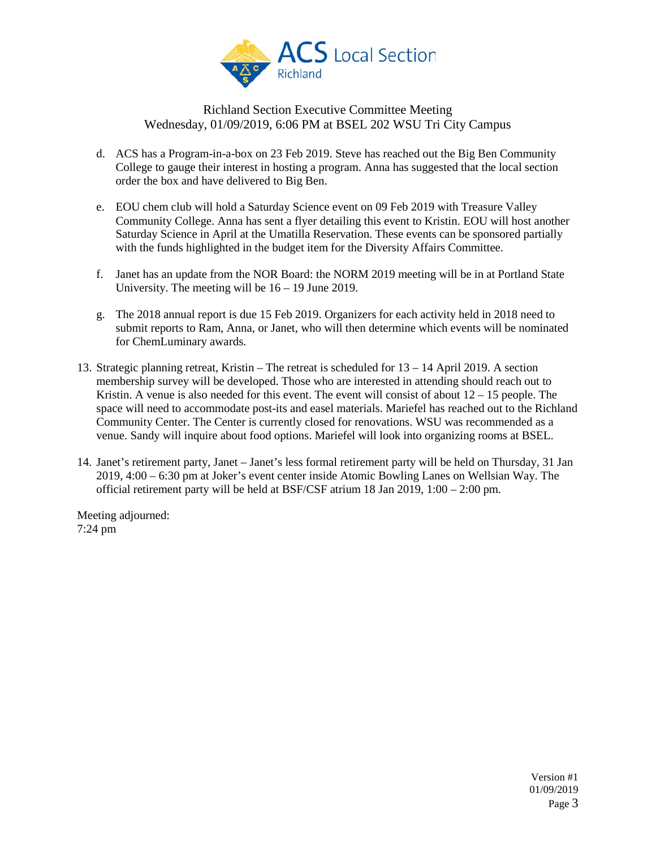

- d. ACS has a Program-in-a-box on 23 Feb 2019. Steve has reached out the Big Ben Community College to gauge their interest in hosting a program. Anna has suggested that the local section order the box and have delivered to Big Ben.
- e. EOU chem club will hold a Saturday Science event on 09 Feb 2019 with Treasure Valley Community College. Anna has sent a flyer detailing this event to Kristin. EOU will host another Saturday Science in April at the Umatilla Reservation. These events can be sponsored partially with the funds highlighted in the budget item for the Diversity Affairs Committee.
- f. Janet has an update from the NOR Board: the NORM 2019 meeting will be in at Portland State University. The meeting will be 16 – 19 June 2019.
- g. The 2018 annual report is due 15 Feb 2019. Organizers for each activity held in 2018 need to submit reports to Ram, Anna, or Janet, who will then determine which events will be nominated for ChemLuminary awards.
- 13. Strategic planning retreat, Kristin The retreat is scheduled for 13 14 April 2019. A section membership survey will be developed. Those who are interested in attending should reach out to Kristin. A venue is also needed for this event. The event will consist of about  $12 - 15$  people. The space will need to accommodate post-its and easel materials. Mariefel has reached out to the Richland Community Center. The Center is currently closed for renovations. WSU was recommended as a venue. Sandy will inquire about food options. Mariefel will look into organizing rooms at BSEL.
- 14. Janet's retirement party, Janet Janet's less formal retirement party will be held on Thursday, 31 Jan 2019, 4:00 – 6:30 pm at Joker's event center inside Atomic Bowling Lanes on Wellsian Way. The official retirement party will be held at BSF/CSF atrium 18 Jan 2019,  $1:00 - 2:00$  pm.

Meeting adjourned: 7:24 pm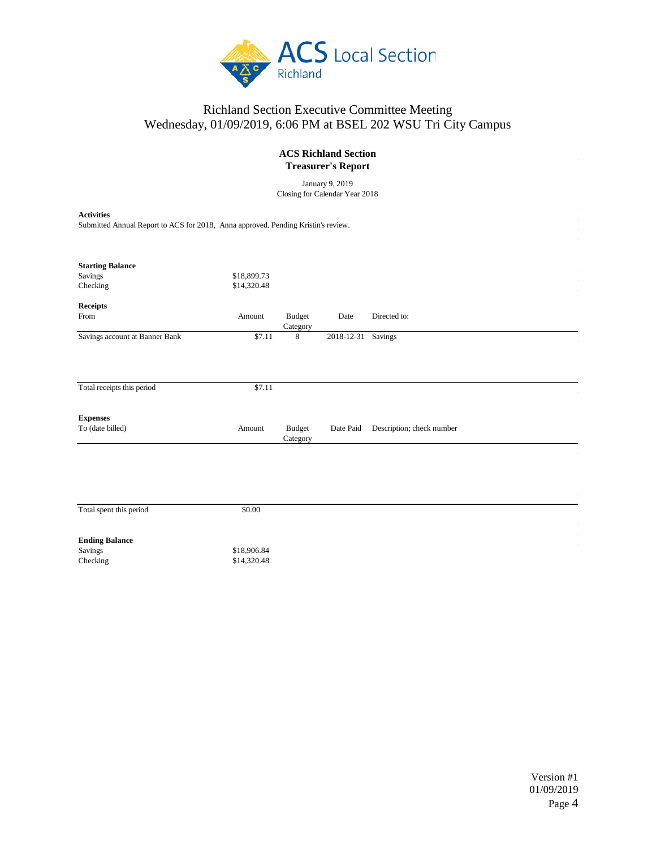

| <b>ACS Richland Section</b><br><b>Treasurer's Report</b>                                               |             |                           |                    |                           |  |  |  |  |  |  |
|--------------------------------------------------------------------------------------------------------|-------------|---------------------------|--------------------|---------------------------|--|--|--|--|--|--|
| January 9, 2019<br>Closing for Calendar Year 2018                                                      |             |                           |                    |                           |  |  |  |  |  |  |
| <b>Activities</b><br>Submitted Annual Report to ACS for 2018, Anna approved. Pending Kristin's review. |             |                           |                    |                           |  |  |  |  |  |  |
| <b>Starting Balance</b><br>Savings                                                                     | \$18,899.73 |                           |                    |                           |  |  |  |  |  |  |
| Checking                                                                                               | \$14,320.48 |                           |                    |                           |  |  |  |  |  |  |
| $\label{eq:receipts} \textbf{Receipts}$                                                                |             |                           |                    |                           |  |  |  |  |  |  |
| From                                                                                                   | Amount      | <b>Budget</b><br>Category | Date               | Directed to:              |  |  |  |  |  |  |
| Savings account at Banner Bank                                                                         | \$7.11      | 8                         | 2018-12-31 Savings |                           |  |  |  |  |  |  |
| Total receipts this period                                                                             | \$7.11      |                           |                    |                           |  |  |  |  |  |  |
|                                                                                                        |             |                           |                    |                           |  |  |  |  |  |  |
| <b>Expenses</b><br>To (date billed)                                                                    | Amount      | <b>Budget</b>             | Date Paid          | Description; check number |  |  |  |  |  |  |
|                                                                                                        |             | Category                  |                    |                           |  |  |  |  |  |  |
|                                                                                                        |             |                           |                    |                           |  |  |  |  |  |  |
|                                                                                                        |             |                           |                    |                           |  |  |  |  |  |  |
| Total spent this period                                                                                | \$0.00      |                           |                    |                           |  |  |  |  |  |  |
| <b>Ending Balance</b>                                                                                  |             |                           |                    |                           |  |  |  |  |  |  |
| Savings                                                                                                | \$18,906.84 |                           |                    |                           |  |  |  |  |  |  |
| Checking                                                                                               | \$14,320.48 |                           |                    |                           |  |  |  |  |  |  |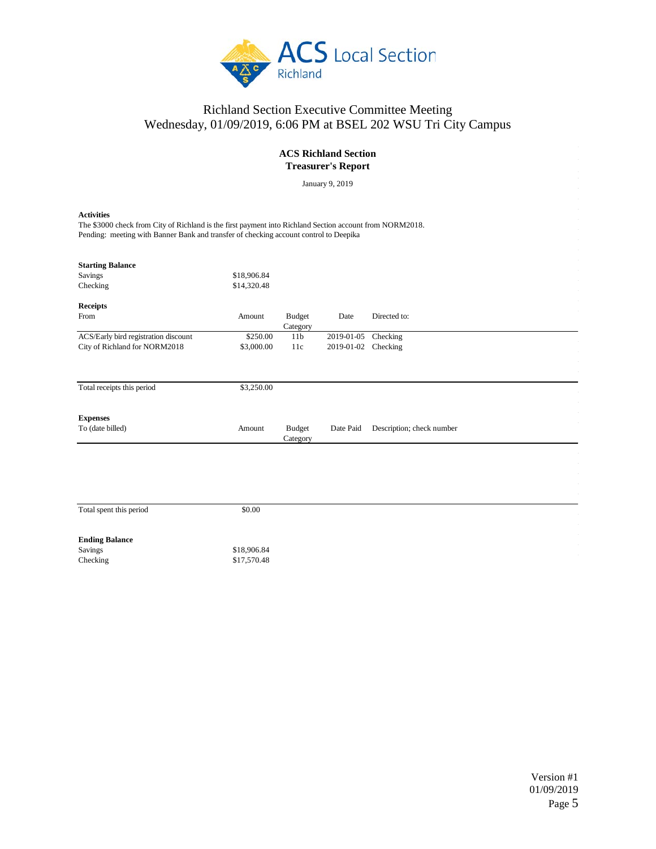

| <b>ACS Richland Section</b><br><b>Treasurer's Report</b>                                                                                                                                                               |                            |                           |                                   |                           |  |  |  |  |  |  |
|------------------------------------------------------------------------------------------------------------------------------------------------------------------------------------------------------------------------|----------------------------|---------------------------|-----------------------------------|---------------------------|--|--|--|--|--|--|
| January 9, 2019                                                                                                                                                                                                        |                            |                           |                                   |                           |  |  |  |  |  |  |
| <b>Activities</b><br>The \$3000 check from City of Richland is the first payment into Richland Section account from NORM2018.<br>Pending: meeting with Banner Bank and transfer of checking account control to Deepika |                            |                           |                                   |                           |  |  |  |  |  |  |
| <b>Starting Balance</b><br>Savings<br>Checking                                                                                                                                                                         | \$18,906.84<br>\$14,320.48 |                           |                                   |                           |  |  |  |  |  |  |
| <b>Receipts</b><br>From                                                                                                                                                                                                | Amount                     | <b>Budget</b><br>Category | Date                              | Directed to:              |  |  |  |  |  |  |
| ACS/Early bird registration discount<br>City of Richland for NORM2018                                                                                                                                                  | \$250.00<br>\$3,000.00     | 11b<br>11c                | 2019-01-05<br>2019-01-02 Checking | Checking                  |  |  |  |  |  |  |
| Total receipts this period                                                                                                                                                                                             | \$3,250.00                 |                           |                                   |                           |  |  |  |  |  |  |
| <b>Expenses</b><br>To (date billed)                                                                                                                                                                                    | Amount                     | <b>Budget</b><br>Category | Date Paid                         | Description; check number |  |  |  |  |  |  |
| Total spent this period                                                                                                                                                                                                | \$0.00                     |                           |                                   |                           |  |  |  |  |  |  |
| <b>Ending Balance</b><br>Savings<br>Checking                                                                                                                                                                           | \$18,906.84<br>\$17,570.48 |                           |                                   |                           |  |  |  |  |  |  |